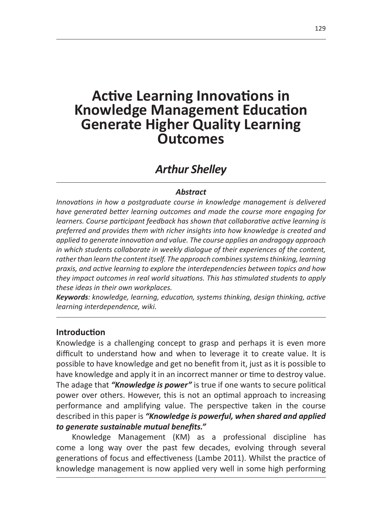# **Active Learning Innovations in Knowledge Management Education Generate Higher Quality Learning Outcomes**

# *Arthur Shelley*

#### *Abstract*

*Innovations in how a postgraduate course in knowledge management is delivered have generated better learning outcomes and made the course more engaging for learners. Course participant feedback has shown that collaborative active learning is preferred and provides them with richer insights into how knowledge is created and applied to generate innovation and value. The course applies an andragogy approach in which students collaborate in weekly dialogue of their experiences of the content,*  rather than learn the content itself. The approach combines systems thinking, learning *praxis, and active learning to explore the interdependencies between topics and how they impact outcomes in real world situations. This has stimulated students to apply these ideas in their own workplaces.*

*Keywords: knowledge, learning, education, systems thinking, design thinking, active learning interdependence, wiki.*

#### **Introduction**

Knowledge is a challenging concept to grasp and perhaps it is even more difficult to understand how and when to leverage it to create value. It is possible to have knowledge and get no benefit from it, just as it is possible to have knowledge and apply it in an incorrect manner or time to destroy value. The adage that *"Knowledge is power"* is true if one wants to secure political power over others. However, this is not an optimal approach to increasing performance and amplifying value. The perspective taken in the course described in this paper is *"Knowledge is powerful, when shared and applied to generate sustainable mutual benefits."*

Knowledge Management (KM) as a professional discipline has come a long way over the past few decades, evolving through several generations of focus and effectiveness (Lambe 2011). Whilst the practice of knowledge management is now applied very well in some high performing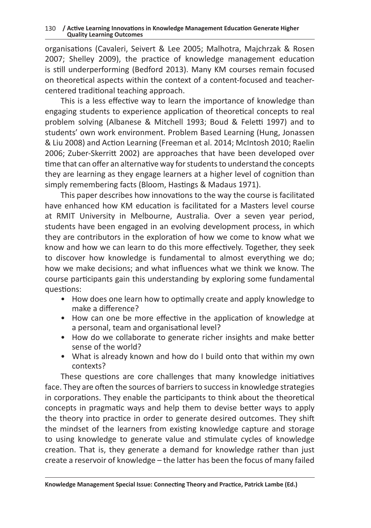organisations (Cavaleri, Seivert & Lee 2005; Malhotra, Majchrzak & Rosen 2007; Shelley 2009), the practice of knowledge management education is still underperforming (Bedford 2013). Many KM courses remain focused on theoretical aspects within the context of a content-focused and teachercentered traditional teaching approach.

This is a less effective way to learn the importance of knowledge than engaging students to experience application of theoretical concepts to real problem solving (Albanese & Mitchell 1993; Boud & Feletti 1997) and to students' own work environment. Problem Based Learning (Hung, Jonassen & Liu 2008) and Action Learning (Freeman et al. 2014; McIntosh 2010; Raelin 2006; Zuber-Skerritt 2002) are approaches that have been developed over time that can offer an alternative way for students to understand the concepts they are learning as they engage learners at a higher level of cognition than simply remembering facts (Bloom, Hastings & Madaus 1971).

This paper describes how innovations to the way the course is facilitated have enhanced how KM education is facilitated for a Masters level course at RMIT University in Melbourne, Australia. Over a seven year period, students have been engaged in an evolving development process, in which they are contributors in the exploration of how we come to know what we know and how we can learn to do this more effectively. Together, they seek to discover how knowledge is fundamental to almost everything we do; how we make decisions; and what influences what we think we know. The course participants gain this understanding by exploring some fundamental questions:

- How does one learn how to optimally create and apply knowledge to make a difference?
- How can one be more effective in the application of knowledge at a personal, team and organisational level?
- How do we collaborate to generate richer insights and make better sense of the world?
- What is already known and how do I build onto that within my own contexts?

These questions are core challenges that many knowledge initiatives face. They are often the sources of barriers to success in knowledge strategies in corporations. They enable the participants to think about the theoretical concepts in pragmatic ways and help them to devise better ways to apply the theory into practice in order to generate desired outcomes. They shift the mindset of the learners from existing knowledge capture and storage to using knowledge to generate value and stimulate cycles of knowledge creation. That is, they generate a demand for knowledge rather than just create a reservoir of knowledge – the latter has been the focus of many failed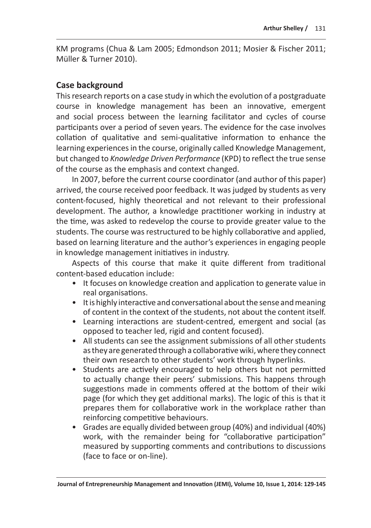KM programs (Chua & Lam 2005; Edmondson 2011; Mosier & Fischer 2011; Müller & Turner 2010).

# **Case background**

This research reports on a case study in which the evolution of a postgraduate course in knowledge management has been an innovative, emergent and social process between the learning facilitator and cycles of course participants over a period of seven years. The evidence for the case involves collation of qualitative and semi-qualitative information to enhance the learning experiences in the course, originally called Knowledge Management, but changed to *Knowledge Driven Performance* (KPD) to reflect the true sense of the course as the emphasis and context changed.

In 2007, before the current course coordinator (and author of this paper) arrived, the course received poor feedback. It was judged by students as very content-focused, highly theoretical and not relevant to their professional development. The author, a knowledge practitioner working in industry at the time, was asked to redevelop the course to provide greater value to the students. The course was restructured to be highly collaborative and applied, based on learning literature and the author's experiences in engaging people in knowledge management initiatives in industry.

Aspects of this course that make it quite different from traditional content-based education include:

- It focuses on knowledge creation and application to generate value in real organisations.
- It is highly interactive and conversational about the sense and meaning of content in the context of the students, not about the content itself.
- Learning interactions are student-centred, emergent and social (as opposed to teacher led, rigid and content focused).
- All students can see the assignment submissions of all other students as they are generated through a collaborative wiki, where they connect their own research to other students' work through hyperlinks.
- Students are actively encouraged to help others but not permitted to actually change their peers' submissions. This happens through suggestions made in comments offered at the bottom of their wiki page (for which they get additional marks). The logic of this is that it prepares them for collaborative work in the workplace rather than reinforcing competitive behaviours.
- Grades are equally divided between group (40%) and individual (40%) work, with the remainder being for "collaborative participation" measured by supporting comments and contributions to discussions (face to face or on-line).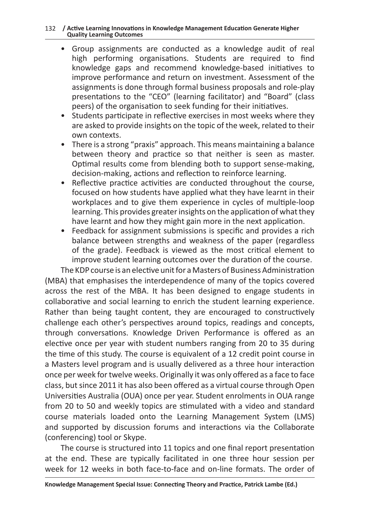#### 132 **/ Active Learning Innovations in Knowledge Management Education Generate Higher Quality Learning Outcomes**

- Group assignments are conducted as a knowledge audit of real high performing organisations. Students are required to find knowledge gaps and recommend knowledge-based initiatives to improve performance and return on investment. Assessment of the assignments is done through formal business proposals and role-play presentations to the "CEO" (learning facilitator) and "Board" (class peers) of the organisation to seek funding for their initiatives.
- Students participate in reflective exercises in most weeks where they are asked to provide insights on the topic of the week, related to their own contexts.
- There is a strong "praxis" approach. This means maintaining a balance between theory and practice so that neither is seen as master. Optimal results come from blending both to support sense-making, decision-making, actions and reflection to reinforce learning.
- Reflective practice activities are conducted throughout the course, focused on how students have applied what they have learnt in their workplaces and to give them experience in cycles of multiple-loop learning. This provides greater insights on the application of what they have learnt and how they might gain more in the next application.
- Feedback for assignment submissions is specific and provides a rich balance between strengths and weakness of the paper (regardless of the grade). Feedback is viewed as the most critical element to improve student learning outcomes over the duration of the course.

The KDP course is an elective unit for a Masters of Business Administration (MBA) that emphasises the interdependence of many of the topics covered across the rest of the MBA. It has been designed to engage students in collaborative and social learning to enrich the student learning experience. Rather than being taught content, they are encouraged to constructively challenge each other's perspectives around topics, readings and concepts, through conversations. Knowledge Driven Performance is offered as an elective once per year with student numbers ranging from 20 to 35 during the time of this study. The course is equivalent of a 12 credit point course in a Masters level program and is usually delivered as a three hour interaction once per week for twelve weeks. Originally it was only offered as a face to face class, but since 2011 it has also been offered as a virtual course through Open Universities Australia (OUA) once per year. Student enrolments in OUA range from 20 to 50 and weekly topics are stimulated with a video and standard course materials loaded onto the Learning Management System (LMS) and supported by discussion forums and interactions via the Collaborate (conferencing) tool or Skype.

The course is structured into 11 topics and one final report presentation at the end. These are typically facilitated in one three hour session per week for 12 weeks in both face-to-face and on-line formats. The order of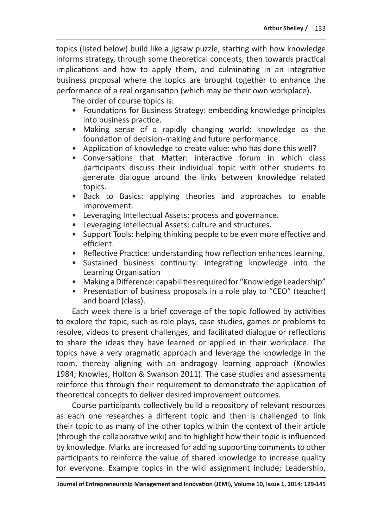topics (listed below) build like a jigsaw puzzle, starting with how knowledge informs strategy, through some theoretical concepts, then towards practical implications and how to apply them, and culminating in an integrative business proposal where the topics are brought together to enhance the performance of a real organisation (which may be their own workplace).

The order of course topics is:

- Foundations for Business Strategy: embedding knowledge principles into business practice.
- Making sense of a rapidly changing world: knowledge as the foundation of decision-making and future performance.
- Application of knowledge to create value: who has done this well?
- Conversations that Matter: interactive forum in which class participants discuss their individual topic with other students to generate dialogue around the links between knowledge related topics.
- Back to Basics: applying theories and approaches to enable improvement.
- Leveraging Intellectual Assets: process and governance.
- Leveraging Intellectual Assets: culture and structures.
- Support Tools: helping thinking people to be even more effective and efficient.
- Reflective Practice: understanding how reflection enhances learning.
- Sustained business continuity: integrating knowledge into the Learning Organisation
- Making a Difference: capabilities required for "Knowledge Leadership"
- Presentation of business proposals in a role play to "CEO" (teacher) and board (class).

Each week there is a brief coverage of the topic followed by activities to explore the topic, such as role plays, case studies, games or problems to resolve, videos to present challenges, and facilitated dialogue or reflections to share the ideas they have learned or applied in their workplace. The topics have a very pragmatic approach and leverage the knowledge in the room, thereby aligning with an andragogy learning approach (Knowles 1984; Knowles, Holton & Swanson 2011). The case studies and assessments reinforce this through their requirement to demonstrate the application of theoretical concepts to deliver desired improvement outcomes.

Course participants collectively build a repository of relevant resources as each one researches a different topic and then is challenged to link their topic to as many of the other topics within the context of their article (through the collaborative wiki) and to highlight how their topic is influenced by knowledge. Marks are increased for adding supporting comments to other participants to reinforce the value of shared knowledge to increase quality for everyone. Example topics in the wiki assignment include; Leadership,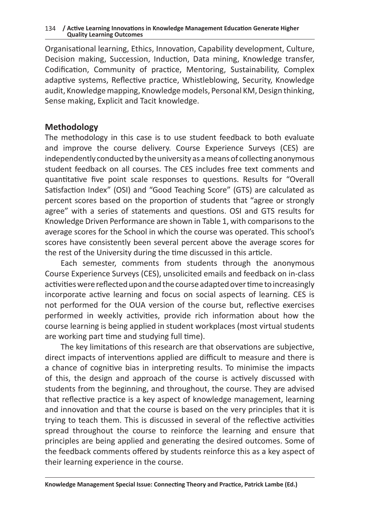#### 134 **/ Active Learning Innovations in Knowledge Management Education Generate Higher Quality Learning Outcomes**

Organisational learning, Ethics, Innovation, Capability development, Culture, Decision making, Succession, Induction, Data mining, Knowledge transfer, Codification, Community of practice, Mentoring, Sustainability, Complex adaptive systems, Reflective practice, Whistleblowing, Security, Knowledge audit, Knowledge mapping, Knowledge models, Personal KM, Design thinking, Sense making, Explicit and Tacit knowledge.

### **Methodology**

The methodology in this case is to use student feedback to both evaluate and improve the course delivery. Course Experience Surveys (CES) are independently conducted by the university as ameans of collecting anonymous student feedback on all courses. The CES includes free text comments and quantitative five point scale responses to questions. Results for "Overall Satisfaction Index" (OSI) and "Good Teaching Score" (GTS) are calculated as percent scores based on the proportion of students that "agree or strongly agree" with a series of statements and questions. OSI and GTS results for Knowledge Driven Performance are shown in Table 1, with comparisons to the average scores for the School in which the course was operated. This school's scores have consistently been several percent above the average scores for the rest of the University during the time discussed in this article.

Each semester, comments from students through the anonymous Course Experience Surveys (CES), unsolicited emails and feedback on in-class activities were reflected upon and the course adapted over time to increasingly incorporate active learning and focus on social aspects of learning. CES is not performed for the OUA version of the course but, reflective exercises performed in weekly activities, provide rich information about how the course learning is being applied in student workplaces (most virtual students are working part time and studying full time).

The key limitations of this research are that observations are subjective, direct impacts of interventions applied are difficult to measure and there is a chance of cognitive bias in interpreting results. To minimise the impacts of this, the design and approach of the course is actively discussed with students from the beginning, and throughout, the course. They are advised that reflective practice is a key aspect of knowledge management, learning and innovation and that the course is based on the very principles that it is trying to teach them. This is discussed in several of the reflective activities spread throughout the course to reinforce the learning and ensure that principles are being applied and generating the desired outcomes. Some of the feedback comments offered by students reinforce this as a key aspect of their learning experience in the course.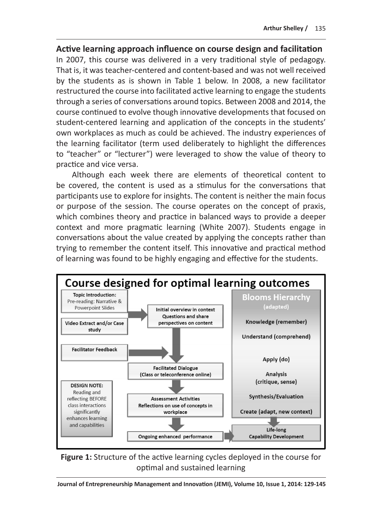# **Active learning approach influence on course design and facilitation**

In 2007, this course was delivered in a very traditional style of pedagogy. That is, it was teacher-centered and content-based and was not well received by the students as is shown in Table 1 below. In 2008, a new facilitator restructured the course into facilitated active learning to engage the students through a series of conversations around topics. Between 2008 and 2014, the course continued to evolve though innovative developments that focused on student-centered learning and application of the concepts in the students' own workplaces as much as could be achieved. The industry experiences of the learning facilitator (term used deliberately to highlight the differences to "teacher" or "lecturer") were leveraged to show the value of theory to practice and vice versa.

Although each week there are elements of theoretical content to be covered, the content is used as a stimulus for the conversations that participants use to explore for insights. The content is neither the main focus or purpose of the session. The course operates on the concept of praxis, which combines theory and practice in balanced ways to provide a deeper context and more pragmatic learning (White 2007). Students engage in conversations about the value created by applying the concepts rather than trying to remember the content itself. This innovative and practical method of learning was found to be highly engaging and effective for the students.



**Figure 1:** Structure of the active learning cycles deployed in the course for optimal and sustained learning

**Journal of Entrepreneurship Management and Innovation (JEMI), Volume 10, Issue 1, 2014: 129-145**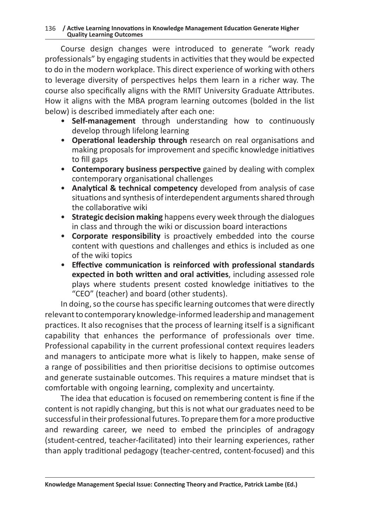Course design changes were introduced to generate "work ready professionals" by engaging students in activities that they would be expected to do in the modern workplace. This direct experience of working with others to leverage diversity of perspectives helps them learn in a richer way. The course also specifically aligns with the RMIT University Graduate Attributes. How it aligns with the MBA program learning outcomes (bolded in the list below) is described immediately after each one:

- **Self-management** through understanding how to continuously develop through lifelong learning
- **Operational leadership through** research on real organisations and making proposals for improvement and specific knowledge initiatives to fill gaps
- **Contemporary business perspective** gained by dealing with complex contemporary organisational challenges
- **Analytical & technical competency** developed from analysis of case situations and synthesis of interdependent arguments shared through the collaborative wiki
- **Strategic decision making** happens every week through the dialogues in class and through the wiki or discussion board interactions
- **Corporate responsibility** is proactively embedded into the course content with questions and challenges and ethics is included as one of the wiki topics
- **Effective communication is reinforced with professional standards expected in both written and oral activities**, including assessed role plays where students present costed knowledge initiatives to the "CEO" (teacher) and board (other students).

In doing, so the course has specific learning outcomes that were directly relevant to contemporary knowledge-informed leadership and management practices. It also recognises that the process of learning itself is a significant capability that enhances the performance of professionals over time. Professional capability in the current professional context requires leaders and managers to anticipate more what is likely to happen, make sense of a range of possibilities and then prioritise decisions to optimise outcomes and generate sustainable outcomes. This requires a mature mindset that is comfortable with ongoing learning, complexity and uncertainty.

The idea that education is focused on remembering content is fine if the content is not rapidly changing, but this is not what our graduates need to be successful in their professional futures. To prepare them for a more productive and rewarding career, we need to embed the principles of andragogy (student-centred, teacher-facilitated) into their learning experiences, rather than apply traditional pedagogy (teacher-centred, content-focused) and this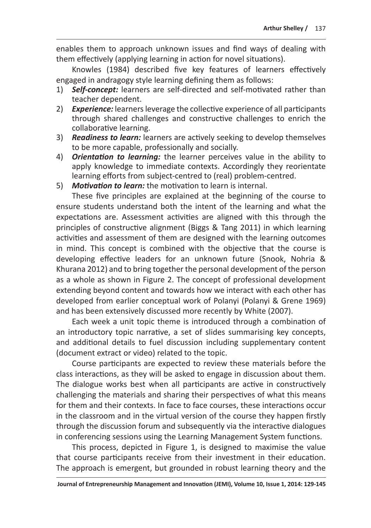enables them to approach unknown issues and find ways of dealing with them effectively (applying learning in action for novel situations).

Knowles (1984) described five key features of learners effectively engaged in andragogy style learning defining them as follows:

- 1) *Self-concept:* learners are self-directed and self-motivated rather than teacher dependent.
- 2) *Experience:* learners leverage the collective experience of all participants through shared challenges and constructive challenges to enrich the collaborative learning.
- 3) *Readiness to learn:* learners are actively seeking to develop themselves to be more capable, professionally and socially.
- 4) *Orientation to learning:* the learner perceives value in the ability to apply knowledge to immediate contexts. Accordingly they reorientate learning efforts from subject-centred to (real) problem-centred.
- 5) *Motivation to learn:* the motivation to learn is internal.

These five principles are explained at the beginning of the course to ensure students understand both the intent of the learning and what the expectations are. Assessment activities are aligned with this through the principles of constructive alignment (Biggs & Tang 2011) in which learning activities and assessment of them are designed with the learning outcomes in mind. This concept is combined with the objective that the course is developing effective leaders for an unknown future (Snook, Nohria & Khurana 2012) and to bring together the personal development of the person as a whole as shown in Figure 2. The concept of professional development extending beyond content and towards how we interact with each other has developed from earlier conceptual work of Polanyi (Polanyi & Grene 1969) and has been extensively discussed more recently by White (2007).

Each week a unit topic theme is introduced through a combination of an introductory topic narrative, a set of slides summarising key concepts, and additional details to fuel discussion including supplementary content (document extract or video) related to the topic.

Course participants are expected to review these materials before the class interactions, as they will be asked to engage in discussion about them. The dialogue works best when all participants are active in constructively challenging the materials and sharing their perspectives of what this means for them and their contexts. In face to face courses, these interactions occur in the classroom and in the virtual version of the course they happen firstly through the discussion forum and subsequently via the interactive dialogues in conferencing sessions using the Learning Management System functions.

This process, depicted in Figure 1, is designed to maximise the value that course participants receive from their investment in their education. The approach is emergent, but grounded in robust learning theory and the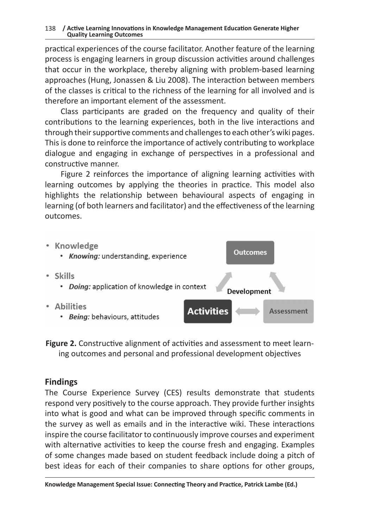practical experiences of the course facilitator. Another feature of the learning process is engaging learners in group discussion activities around challenges that occur in the workplace, thereby aligning with problem-based learning approaches (Hung, Jonassen & Liu 2008). The interaction between members of the classes is critical to the richness of the learning for all involved and is therefore an important element of the assessment.

Class participants are graded on the frequency and quality of their contributions to the learning experiences, both in the live interactions and through their supportive comments and challenges to each other's wiki pages. This is done to reinforce the importance of actively contributing to workplace dialogue and engaging in exchange of perspectives in a professional and constructive manner.

Figure 2 reinforces the importance of aligning learning activities with learning outcomes by applying the theories in practice. This model also highlights the relationship between behavioural aspects of engaging in learning (of both learners and facilitator) and the effectiveness of the learning outcomes.



**Figure 2.** Constructive alignment of activities and assessment to meet learning outcomes and personal and professional development objectives

## **Findings**

The Course Experience Survey (CES) results demonstrate that students respond very positively to the course approach. They provide further insights into what is good and what can be improved through specific comments in the survey as well as emails and in the interactive wiki. These interactions inspire the course facilitator to continuously improve courses and experiment with alternative activities to keep the course fresh and engaging. Examples of some changes made based on student feedback include doing a pitch of best ideas for each of their companies to share options for other groups,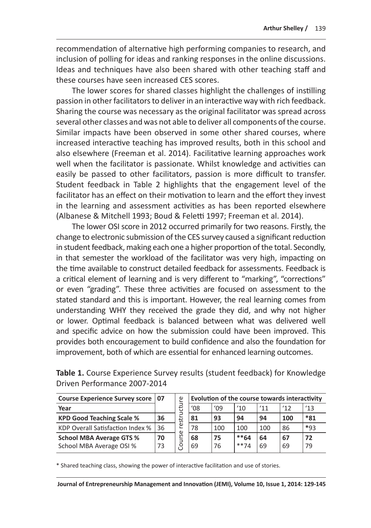recommendation of alternative high performing companies to research, and inclusion of polling for ideas and ranking responses in the online discussions. Ideas and techniques have also been shared with other teaching staff and these courses have seen increased CES scores.

The lower scores for shared classes highlight the challenges of instilling passion in other facilitators to deliver in an interactive way with rich feedback. Sharing the course was necessary as the original facilitator was spread across several other classes and was not able to deliver all components of the course. Similar impacts have been observed in some other shared courses, where increased interactive teaching has improved results, both in this school and also elsewhere (Freeman et al. 2014). Facilitative learning approaches work well when the facilitator is passionate. Whilst knowledge and activities can easily be passed to other facilitators, passion is more difficult to transfer. Student feedback in Table 2 highlights that the engagement level of the facilitator has an effect on their motivation to learn and the effort they invest in the learning and assessment activities as has been reported elsewhere (Albanese & Mitchell 1993; Boud & Feletti 1997; Freeman et al. 2014).

The lower OSI score in 2012 occurred primarily for two reasons. Firstly, the change to electronic submission of the CES survey caused a significant reduction in student feedback, making each one a higher proportion of the total. Secondly, in that semester the workload of the facilitator was very high, impacting on the time available to construct detailed feedback for assessments. Feedback is a critical element of learning and is very different to "marking", "corrections" or even "grading". These three activities are focused on assessment to the stated standard and this is important. However, the real learning comes from understanding WHY they received the grade they did, and why not higher or lower. Optimal feedback is balanced between what was delivered well and specific advice on how the submission could have been improved. This provides both encouragement to build confidence and also the foundation for improvement, both of which are essential for enhanced learning outcomes.

|    | ഉ                                   | Evolution of the course towards interactivity |     |        |     |     |       |
|----|-------------------------------------|-----------------------------------------------|-----|--------|-----|-----|-------|
|    | ゼ                                   | $^{\prime}08$                                 | '09 | '10    | '11 | 12  | '13   |
| 36 | ಜ                                   | 81                                            | 93  | 94     | 94  | 100 | $*31$ |
| 36 | ၑ                                   | 78                                            | 100 | 100    | 100 | 86  | $*93$ |
| 70 | ی                                   | 68                                            | 75  | $**64$ | 64  | 67  | 72    |
| 73 | පි                                  | 69                                            | 76  | $**74$ | 69  | 69  | 79    |
|    | Course Experience Survey score   07 | ω                                             |     |        |     |     |       |

**Table 1.** Course Experience Survey results (student feedback) for Knowledge Driven Performance 2007-2014

\* Shared teaching class, showing the power of interactive facilitation and use of stories.

**Journal of Entrepreneurship Management and Innovation (JEMI), Volume 10, Issue 1, 2014: 129-145**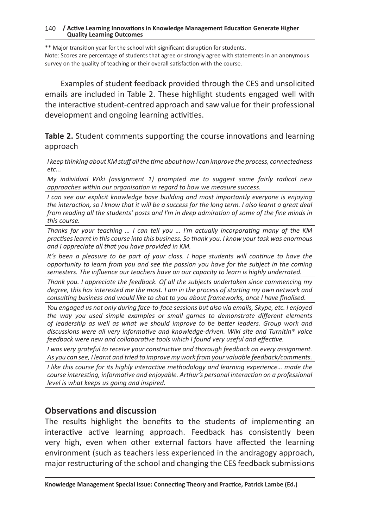#### 140 **/ Active Learning Innovations in Knowledge Management Education Generate Higher Quality Learning Outcomes**

\*\* Major transition year for the school with significant disruption for students. Note: Scores are percentage of students that agree or strongly agree with statements in an anonymous survey on the quality of teaching or their overall satisfaction with the course.

Examples of student feedback provided through the CES and unsolicited emails are included in Table 2. These highlight students engaged well with the interactive student-centred approach and saw value for their professional development and ongoing learning activities.

**Table 2.** Student comments supporting the course innovations and learning approach

*I keep thinking about KM stuff all the time about how I can improve the process, connectedness etc...*

*My individual Wiki (assignment 1) prompted me to suggest some fairly radical new approaches within our organisation in regard to how we measure success.*

*I* can see our explicit knowledge base building and most importantly everyone is enjoying *the interaction, so I know that it will be a success for the long term. I also learnt a great deal from reading all the students' posts and I'm in deep admiration of some of the fine minds in this course.*

*Thanks for your teaching … I can tell you … I'm actually incorporating many of the KM practises learnt in this course into this business. So thank you. I know your task was enormous and I appreciate all that you have provided in KM.*

*It's been a pleasure to be part of your class. I hope students will continue to have the opportunity to learn from you and see the passion you have for the subject in the coming semesters. The influence our teachers have on our capacity to learn is highly underrated.*

*Thank you. I appreciate the feedback. Of all the subjects undertaken since commencing my degree, this has interested me the most. I am in the process of starting my own network and consulting business and would like to chat to you about frameworks, once I have finalised.*

*You engaged us not only during face-to-face sessions but also via emails, Skype, etc. I enjoyed the way you used simple examples or small games to demonstrate different elements of leadership as well as what we should improve to be better leaders. Group work and discussions were all very informative and knowledge-driven. Wiki site and TurnItIn® voice feedback were new and collaborative tools which I found very useful and effective.*

*I was very grateful to receive your constructive and thorough feedback on every assignment. As you can see, I learnt and tried to improve my work from your valuable feedback/comments.*

*I like this course for its highly interactive methodology and learning experience... made the course interesting, informative and enjoyable. Arthur's personal interaction on a professional level is what keeps us going and inspired.*

#### **Observations and discussion**

The results highlight the benefits to the students of implementing an interactive active learning approach. Feedback has consistently been very high, even when other external factors have affected the learning environment (such as teachers less experienced in the andragogy approach, major restructuring of the school and changing the CES feedback submissions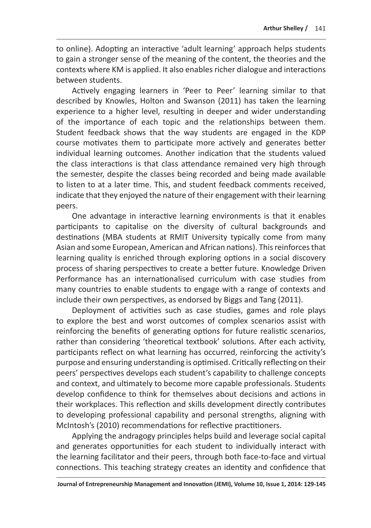to online). Adopting an interactive 'adult learning' approach helps students to gain a stronger sense of the meaning of the content, the theories and the contexts where KM is applied. It also enables richer dialogue and interactions between students.

Actively engaging learners in 'Peer to Peer' learning similar to that described by Knowles, Holton and Swanson (2011) has taken the learning experience to a higher level, resulting in deeper and wider understanding of the importance of each topic and the relationships between them. Student feedback shows that the way students are engaged in the KDP course motivates them to participate more actively and generates better individual learning outcomes. Another indication that the students valued the class interactions is that class attendance remained very high through the semester, despite the classes being recorded and being made available to listen to at a later time. This, and student feedback comments received, indicate that they enjoyed the nature of their engagement with their learning peers.

One advantage in interactive learning environments is that it enables participants to capitalise on the diversity of cultural backgrounds and destinations (MBA students at RMIT University typically come from many Asian and some European, American and African nations). This reinforces that learning quality is enriched through exploring options in a social discovery process of sharing perspectives to create a better future. Knowledge Driven Performance has an internationalised curriculum with case studies from many countries to enable students to engage with a range of contexts and include their own perspectives, as endorsed by Biggs and Tang (2011).

Deployment of activities such as case studies, games and role plays to explore the best and worst outcomes of complex scenarios assist with reinforcing the benefits of generating options for future realistic scenarios, rather than considering 'theoretical textbook' solutions. After each activity, participants reflect on what learning has occurred, reinforcing the activity's purpose and ensuring understanding is optimised. Critically reflecting on their peers' perspectives develops each student's capability to challenge concepts and context, and ultimately to become more capable professionals. Students develop confidence to think for themselves about decisions and actions in their workplaces. This reflection and skills development directly contributes to developing professional capability and personal strengths, aligning with McIntosh's (2010) recommendations for reflective practitioners.

Applying the andragogy principles helps build and leverage social capital and generates opportunities for each student to individually interact with the learning facilitator and their peers, through both face-to-face and virtual connections. This teaching strategy creates an identity and confidence that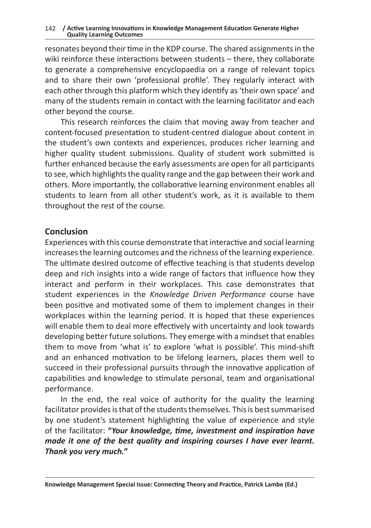resonates beyond their time in the KDP course. The shared assignments in the wiki reinforce these interactions between students – there, they collaborate to generate a comprehensive encyclopaedia on a range of relevant topics and to share their own 'professional profile'. They regularly interact with each other through this platform which they identify as 'their own space' and many of the students remain in contact with the learning facilitator and each other beyond the course.

This research reinforces the claim that moving away from teacher and content-focused presentation to student-centred dialogue about content in the student's own contexts and experiences, produces richer learning and higher quality student submissions. Quality of student work submitted is further enhanced because the early assessments are open for all participants to see, which highlights the quality range and the gap between their work and others. More importantly, the collaborative learning environment enables all students to learn from all other student's work, as it is available to them throughout the rest of the course.

#### **Conclusion**

Experiences with this course demonstrate that interactive and social learning increases the learning outcomes and the richness of the learning experience. The ultimate desired outcome of effective teaching is that students develop deep and rich insights into a wide range of factors that influence how they interact and perform in their workplaces. This case demonstrates that student experiences in the *Knowledge Driven Performance* course have been positive and motivated some of them to implement changes in their workplaces within the learning period. It is hoped that these experiences will enable them to deal more effectively with uncertainty and look towards developing better future solutions. They emerge with a mindset that enables them to move from 'what is' to explore 'what is possible'. This mind-shift and an enhanced motivation to be lifelong learners, places them well to succeed in their professional pursuits through the innovative application of capabilities and knowledge to stimulate personal, team and organisational performance.

In the end, the real voice of authority for the quality the learning facilitator provides is that of the students themselves. This is best summarised by one student's statement highlighting the value of experience and style of the facilitator: **"***Your knowledge, time, investment and inspiration have made it one of the best quality and inspiring courses I have ever learnt. Thank you very much."*

**Knowledge Management Special Issue: Connecting Theory and Practice, Patrick Lambe (Ed.)**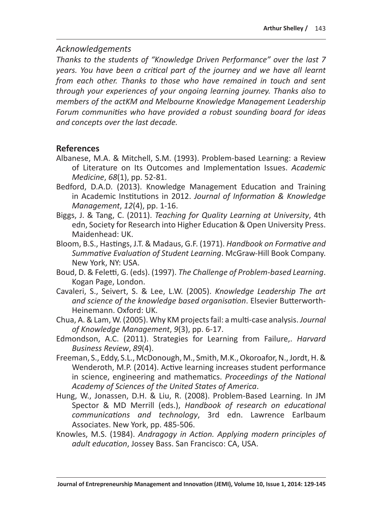#### *Acknowledgements*

*Thanks to the students of "Knowledge Driven Performance" over the last 7 years. You have been a critical part of the journey and we have all learnt from each other. Thanks to those who have remained in touch and sent through your experiences of your ongoing learning journey. Thanks also to members of the actKM and Melbourne Knowledge Management Leadership Forum communities who have provided a robust sounding board for ideas and concepts over the last decade.*

## **References**

- Albanese, M.A. & Mitchell, S.M. (1993). Problem-based Learning: a Review of Literature on Its Outcomes and Implementation Issues. *Academic Medicine*, *68*(1), pp. 52-81.
- Bedford, D.A.D. (2013). Knowledge Management Education and Training in Academic Institutions in 2012. *Journal of Information & Knowledge Management*, *12*(4), pp. 1-16.
- Biggs, J. & Tang, C. (2011). *Teaching for Quality Learning at University*, 4th edn, Society for Research into Higher Education & Open University Press. Maidenhead: UK.
- Bloom, B.S., Hastings, J.T. & Madaus, G.F. (1971). *Handbook on Formative and Summative Evaluation of Student Learning*. McGraw-Hill Book Company. New York, NY: USA.
- Boud, D. & Feletti, G. (eds). (1997). *The Challenge of Problem-based Learning*. Kogan Page, London.
- Cavaleri, S., Seivert, S. & Lee, L.W. (2005). *Knowledge Leadership The art and science of the knowledge based organisation*. Elsevier Butterworth-Heinemann. Oxford: UK.
- Chua, A. & Lam, W. (2005). Why KM projects fail: a multi-case analysis. *Journal of Knowledge Management*, *9*(3), pp. 6-17.
- Edmondson, A.C. (2011). Strategies for Learning from Failure,. *Harvard Business Review*, *89*(4).
- Freeman, S., Eddy, S.L., McDonough, M., Smith, M.K., Okoroafor, N., Jordt, H. & Wenderoth, M.P. (2014). Active learning increases student performance in science, engineering and mathematics. *Proceedings of the National Academy of Sciences of the United States of America*.
- Hung, W., Jonassen, D.H. & Liu, R. (2008). Problem-Based Learning. In JM Spector & MD Merrill (eds.), *Handbook of research on educational communications and technology*, 3rd edn. Lawrence Earlbaum Associates. New York, pp. 485-506.
- Knowles, M.S. (1984). *Andragogy in Action. Applying modern principles of adult education*, Jossey Bass. San Francisco: CA, USA.

**Journal of Entrepreneurship Management and Innovation (JEMI), Volume 10, Issue 1, 2014: 129-145**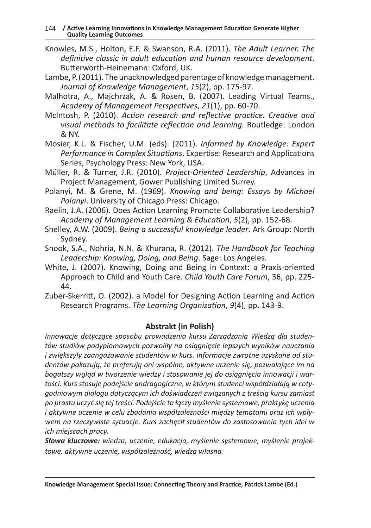- Knowles, M.S., Holton, E.F. & Swanson, R.A. (2011). *The Adult Learner. The definitive classic in adult education and human resource development*. Butterworth-Heinemann: Oxford, UK.
- Lambe, P. (2011). The unacknowledged parentage of knowledge management. *Journal of Knowledge Management*, *15*(2), pp. 175-97.
- Malhotra, A., Majchrzak, A. & Rosen, B. (2007). Leading Virtual Teams., *Academy of Management Perspectives*, *21*(1), pp. 60-70.
- McIntosh, P. (2010). *Action research and reflective practice. Creative and visual methods to facilitate reflection and learning.* Routledge: London & NY.
- Mosier, K.L. & Fischer, U.M. (eds). (2011). *Informed by Knowledge: Expert Performance in Complex Situations*. Expertise: Research and Applications Series, Psychology Press: New York, USA.
- Müller, R. & Turner, J.R. (2010). *Project-Oriented Leadership*, Advances in Project Management, Gower Publishing Limited Surrey.
- Polanyi, M. & Grene, M. (1969). *Knowing and being: Essays by Michael Polanyi*. University of Chicago Press: Chicago.
- Raelin, J.A. (2006). Does Action Learning Promote Collaborative Leadership? *Academy of Management Learning & Education*, *5*(2), pp. 152-68.
- Shelley, A.W. (2009). *Being a successful knowledge leader*. Ark Group: North Sydney.
- Snook, S.A., Nohria, N.N. & Khurana, R. (2012). *The Handbook for Teaching Leadership: Knowing, Doing, and Being*. Sage: Los Angeles.
- White, J. (2007). Knowing, Doing and Being in Context: a Praxis-oriented Approach to Child and Youth Care. *Child Youth Care Forum*, 36, pp. 225- 44.
- Zuber-Skerritt, O. (2002). a Model for Designing Action Learning and Action Research Programs. *The Learning Organization*, *9*(4), pp. 143-9.

#### **Abstrakt (in Polish)**

*Innowacje dotyczące sposobu prowadzenia kursu Zarządzania Wiedzą dla studentów studiów podyplomowych pozwoliły na osiągnięcie lepszych wyników nauczania i zwiększyły zaangażowanie studentów w kurs. Informacje zwrotne uzyskane od studentów pokazują, że preferują oni wspólne, aktywne uczenie się, pozwalające im na bogatszy wgląd w tworzenie wiedzy i stosowanie jej do osiągnięcia innowacji i wartości. Kurs stosuje podejście andragogiczne, w którym studenci współdziałają w cotygodniowym dialogu dotyczącym ich doświadczeń związanych z treścią kursu zamiast po prostu uczyć się tej treści. Podejście to łączy myślenie systemowe, praktykę uczenia i aktywne uczenie w celu zbadania współzależności między tematami oraz ich wpływem na rzeczywiste sytuacje. Kurs zachęcił studentów do zastosowania tych idei w ich miejscach pracy.*

*Słowa kluczowe: wiedza, uczenie, edukacja, myślenie systemowe, myślenie projektowe, aktywne uczenie, współzależność, wiedza własna.*